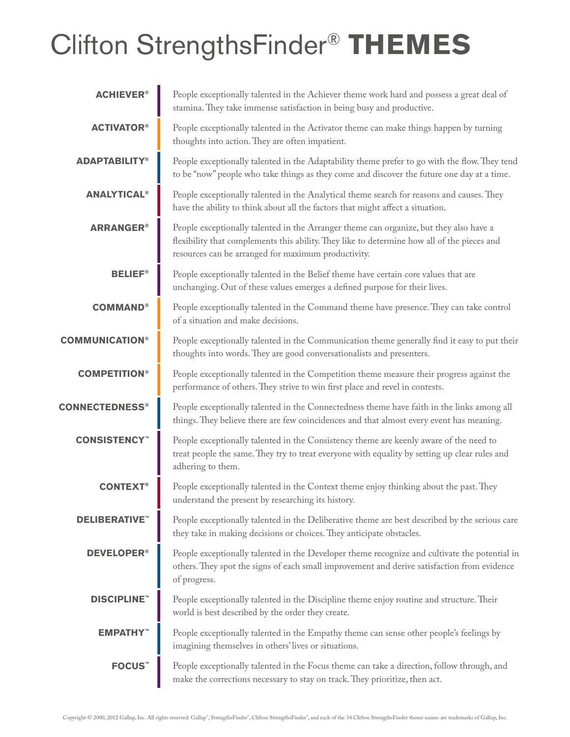## Clifton StrengthsFinder® **THEMES**

| <b>ACHIEVER®</b>                 | People exceptionally talented in the Achiever theme work hard and possess a great deal of<br>stamina. They take immense satisfaction in being busy and productive.                                                                           |
|----------------------------------|----------------------------------------------------------------------------------------------------------------------------------------------------------------------------------------------------------------------------------------------|
| <b>ACTIVATOR®</b>                | People exceptionally talented in the Activator theme can make things happen by turning<br>thoughts into action. They are often impatient.                                                                                                    |
| <b>ADAPTABILITY®</b>             | People exceptionally talented in the Adaptability theme prefer to go with the flow. They tend<br>to be "now" people who take things as they come and discover the future one day at a time.                                                  |
| <b>ANALYTICAL®</b>               | People exceptionally talented in the Analytical theme search for reasons and causes. They<br>have the ability to think about all the factors that might affect a situation.                                                                  |
| <b>ARRANGER®</b>                 | People exceptionally talented in the Arranger theme can organize, but they also have a<br>flexibility that complements this ability. They like to determine how all of the pieces and<br>resources can be arranged for maximum productivity. |
| <b>BELIEF®</b>                   | People exceptionally talented in the Belief theme have certain core values that are<br>unchanging. Out of these values emerges a defined purpose for their lives.                                                                            |
| <b>COMMAND®</b>                  | People exceptionally talented in the Command theme have presence. They can take control<br>of a situation and make decisions.                                                                                                                |
| <b>COMMUNICATION®</b>            | People exceptionally talented in the Communication theme generally find it easy to put their<br>thoughts into words. They are good conversationalists and presenters.                                                                        |
| <b>COMPETITION®</b>              | People exceptionally talented in the Competition theme measure their progress against the<br>performance of others. They strive to win first place and revel in contests.                                                                    |
| <b>CONNECTEDNESS®</b>            | People exceptionally talented in the Connectedness theme have faith in the links among all<br>things. They believe there are few coincidences and that almost every event has meaning.                                                       |
| <b>CONSISTENCY</b> <sup>**</sup> | People exceptionally talented in the Consistency theme are keenly aware of the need to<br>treat people the same. They try to treat everyone with equality by setting up clear rules and<br>adhering to them.                                 |
| <b>CONTEXT®</b>                  | People exceptionally talented in the Context theme enjoy thinking about the past. They<br>understand the present by researching its history.                                                                                                 |
| <b>DELIBERATIVE</b>              | People exceptionally talented in the Deliberative theme are best described by the serious care<br>they take in making decisions or choices. They anticipate obstacles.                                                                       |
| <b>DEVELOPER®</b>                | People exceptionally talented in the Developer theme recognize and cultivate the potential in<br>others. They spot the signs of each small improvement and derive satisfaction from evidence<br>of progress.                                 |
| <b>DISCIPLINE</b>                | People exceptionally talented in the Discipline theme enjoy routine and structure. Their<br>world is best described by the order they create.                                                                                                |
| <b>EMPATHY</b>                   | People exceptionally talented in the Empathy theme can sense other people's feelings by<br>imagining themselves in others' lives or situations.                                                                                              |
| <b>FOCUS</b>                     | People exceptionally talented in the Focus theme can take a direction, follow through, and<br>make the corrections necessary to stay on track. They prioritize, then act.                                                                    |